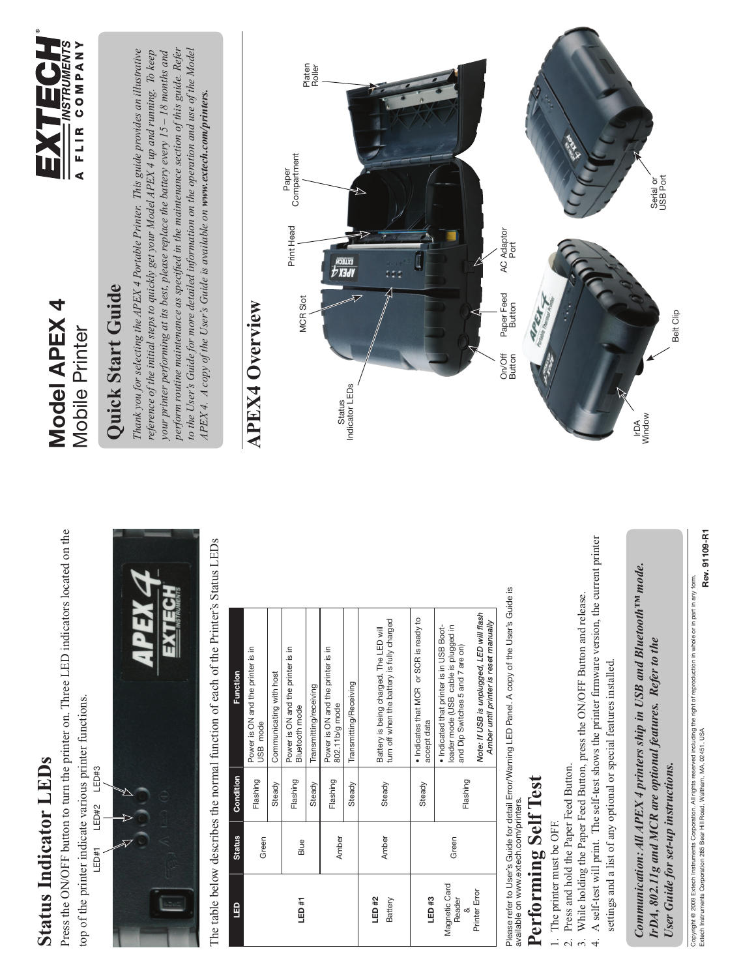Press the ON/OFF button to turn the printer on. Three LED indicators located on the Press the ON/OFF button to turn the printer on. Three LED indicators located on the top of the printer indicate various printer functions. top of the printer indicate various printer functions.

LED#3 LED#1 LED#2 LED#3 LED#2  $LEDH1$ 



The table below describes the normal function of each of the Printer's Status LEDs The table below describes the normal function of each of the Printer's Status LEDs

| <b>G</b>                     | <b>Status</b> | Condition | Function                                                                                                             |
|------------------------------|---------------|-----------|----------------------------------------------------------------------------------------------------------------------|
|                              | Green         | Flashing  | Power is ON and the printer is in<br>USB mode                                                                        |
|                              |               | Steady    | Communicating with host                                                                                              |
| LED #1                       | Blue          | Flashing  | Power is ON and the printer is in<br>Bluetooth mode                                                                  |
|                              |               | Steady    | Transmitting/receiving                                                                                               |
|                              | Amber         | Flashing  | Power is ON and the printer is in<br>802.11b/g mode                                                                  |
|                              |               | Steady    | Transmitting/Receiving                                                                                               |
| LED #2<br>Battery            | Amber         | Steady    | turn off when the battery is fully charged<br>Battery is being charged. The LED will                                 |
| LED #3                       |               | Steady    | · Indicates that MCR or SCR is ready to<br>accept data                                                               |
| Magnetic Card<br>Reader<br>≪ | Green         | Flashing  | · Indicated that printer is in USB Boot-<br>loader mode (USB cable is plugged in<br>and Dip Switches 5 and 7 are on) |
| Printer Error                |               |           | Note: If USB is unplugged, LED will flash<br>Amber until printer is reset manually                                   |

Please refer to User's Guide for detail Error/Warning LED Panel. A copy of the User's Guide is<br>available on www.extech.com/printers. Please refer to User's Guide for detail Error/Warning LED Panel. A copy of the User's Guide is available on www.extech.com/printers.

## Performing Self Test **Performing Self Test**

The printer must be OFF. 1. The printer must be OFF.

- Press and hold the Paper Feed Button. 2. Press and hold the Paper Feed Button.
- 3. While holding the Paper Feed Button, press the ON/OFF Button and release. 3. While holding the Paper Feed Button, press the ON/OFF Button and release.
- 4. A self-test will print. The self-test shows the printer firmware version, the current printer 4. A self-test will print. The self-test shows the printer firmware version, the current printer settings and a list of any optional or special features installed. settings and a list of any optional or special features installed.

*Communication: All APEX 4 printers ship in USB and Bluetooth™ mode.*  Communication: All APEX 4 printers ship in USB and Bluetooth<sup>TM</sup> mode. *IrDA, 802.11g and MCR are optional features. Refer to the*  IrDA, 802.11g and MCR are optional features. Refer to the *User Guide for set-up instructions.*  User Guide for set-up instructions.

Rev. 91109-R1 Extech Instruments Corporation 285 Bear Hill Road, Waltham, MA, 02451, USA **Rev. 91109-R1** Copyright @ 2009 Extech Instruments Corporation. All rights reserved including the right of reproduction in whole or in part in any form.<br>Extech Instruments Corporation 285 Bear Hill Road, Waltham, MA, 02451, USA Copyright @ 2009 Extech Instruments Corporation. All rights reserved including the right of reproduction in whole or in part in any form.

#### Model APEX 4 **Model APEX 4 Mobile Printer** Mobile Printer



#### **Ouick Start Guide Quick Start Guide**

*perform routine maintenance as specifi ed in the maintenance section of this guide. Refer to the User's Guide for more detailed information on the operation and use of the Model Thank you for selecting the APEX 4 Portable Printer. This guide provides an illustrative*  perform routine maintenance as specified in the maintenance section of this guide. Refer Thank you for selecting the APEX 4 Portable Printer. This guide provides an illustrative reference of the initial steps to quickly get your Model APEX 4 up and running. To keep *reference of the initial steps to quickly get your Model APEX 4 up and running. To keep your printer performing at its best, please replace the battery every 15 – 18 months and*  to the User's Guide for more detailed information on the operation and use of the Model your printer performing at its best, please replace the battery every 15 - 18 months and APEX 4. A copy of the User's Guide is available on www.extech.com/printers. *APEX 4. A copy of the User's Guide is available on www.extech.com/printers.*

#### **APEX4 Overview APEX4 Overview**